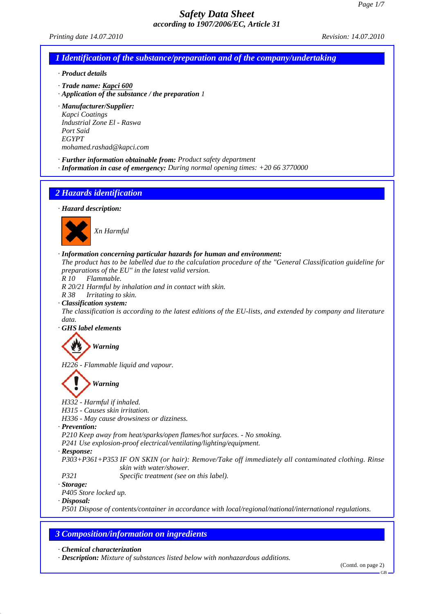*Printing date 14.07.2010 Revision: 14.07.2010*

*1 Identification of the substance/preparation and of the company/undertaking*

*· Product details*

- *· Trade name: Kapci 600*
- *· Application of the substance / the preparation 1*

*· Manufacturer/Supplier: Kapci Coatings Industrial Zone El - Raswa Port Said EGYPT mohamed.rashad@kapci.com*

- *· Further information obtainable from: Product safety department*
- *· Information in case of emergency: During normal opening times: +20 66 3770000*

# *2 Hazards identification*

*· Hazard description:*



#### *· Information concerning particular hazards for human and environment:*

*The product has to be labelled due to the calculation procedure of the "General Classification guideline for preparations of the EU" in the latest valid version.*

*R 10 Flammable.*

*R 20/21 Harmful by inhalation and in contact with skin.*

*R 38 Irritating to skin.*

*· Classification system:*

*The classification is according to the latest editions of the EU-lists, and extended by company and literature data.*

*· GHS label elements*

## *Warning*

*H226 - Flammable liquid and vapour.*

# *Warning*

*H332 - Harmful if inhaled.*

*H315 - Causes skin irritation.*

*H336 - May cause drowsiness or dizziness.*

*· Prevention:*

*P210 Keep away from heat/sparks/open flames/hot surfaces. - No smoking.*

*P241 Use explosion-proof electrical/ventilating/lighting/equipment.*

*· Response:*

*P303+P361+P353 IF ON SKIN (or hair): Remove/Take off immediately all contaminated clothing. Rinse skin with water/shower.*

*P321 Specific treatment (see on this label).*

*· Storage:*

*P405 Store locked up.*

*· Disposal:*

*P501 Dispose of contents/container in accordance with local/regional/national/international regulations.*

## *3 Composition/information on ingredients*

*· Chemical characterization*

*· Description: Mixture of substances listed below with nonhazardous additions.*

(Contd. on page 2)

GB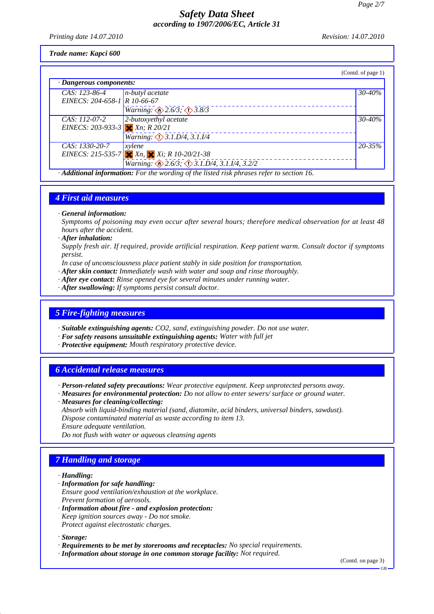*Printing date 14.07.2010 Revision: 14.07.2010*

*Trade name: Kapci 600*

|                                                                                         |                                                  | (Contd. of page 1) |  |
|-----------------------------------------------------------------------------------------|--------------------------------------------------|--------------------|--|
| $\cdot$ Dangerous components:                                                           |                                                  |                    |  |
| CAS: 123-86-4                                                                           | $n$ -butyl acetate                               | 30-40%             |  |
| EINECS: 204-658-1 R 10-66-67                                                            |                                                  |                    |  |
|                                                                                         | <i>Warning:</i> $\otimes$ 2.6/3; $\otimes$ 3.8/3 |                    |  |
| CAS: 112-07-2                                                                           | 2-butoxyethyl acetate                            | 30-40%             |  |
| EINECS: 203-933-3 $X_n$ ; R 20/21                                                       |                                                  |                    |  |
|                                                                                         | Warning: $\bigcirc$ 3.1.D/4, 3.1.I/4             |                    |  |
| CAS: 1330-20-7                                                                          | xylene                                           | $20 - 35\%$        |  |
|                                                                                         | EINECS: 215-535-7 $X_n$ , $X_i$ ; R 10-20/21-38  |                    |  |
|                                                                                         | Warning: 2.6/3; 3.1.D/4, 3.1.I/4, 3.2/2          |                    |  |
| Additional information: For the wording of the listed risk phrases refer to section 16. |                                                  |                    |  |

## *4 First aid measures*

*· General information:*

*Symptoms of poisoning may even occur after several hours; therefore medical observation for at least 48 hours after the accident.*

*· After inhalation:*

*Supply fresh air. If required, provide artificial respiration. Keep patient warm. Consult doctor if symptoms persist.*

- *In case of unconsciousness place patient stably in side position for transportation.*
- *· After skin contact: Immediately wash with water and soap and rinse thoroughly.*
- *· After eye contact: Rinse opened eye for several minutes under running water.*
- *· After swallowing: If symptoms persist consult doctor.*

#### *5 Fire-fighting measures*

- *· Suitable extinguishing agents: CO2, sand, extinguishing powder. Do not use water.*
- *· For safety reasons unsuitable extinguishing agents: Water with full jet*
- *· Protective equipment: Mouth respiratory protective device.*

## *6 Accidental release measures*

*· Person-related safety precautions: Wear protective equipment. Keep unprotected persons away.*

*· Measures for environmental protection: Do not allow to enter sewers/ surface or ground water. · Measures for cleaning/collecting:*

*Absorb with liquid-binding material (sand, diatomite, acid binders, universal binders, sawdust). Dispose contaminated material as waste according to item 13.*

*Ensure adequate ventilation.*

*Do not flush with water or aqueous cleansing agents*

## *7 Handling and storage*

#### *· Handling:*

- *· Information for safe handling:*
- *Ensure good ventilation/exhaustion at the workplace. Prevent formation of aerosols.*
- *· Information about fire and explosion protection: Keep ignition sources away - Do not smoke. Protect against electrostatic charges.*

*· Storage:*

- *· Requirements to be met by storerooms and receptacles: No special requirements.*
- *· Information about storage in one common storage facility: Not required.*

(Contd. on page 3)

 $CR$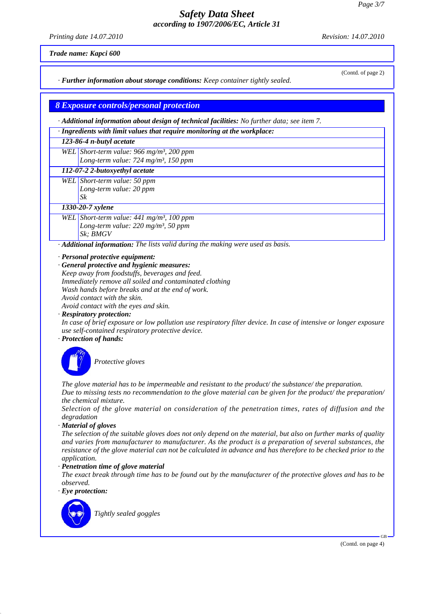*Printing date 14.07.2010 Revision: 14.07.2010*

(Contd. of page 2)

*Trade name: Kapci 600*

*· Further information about storage conditions: Keep container tightly sealed.*

## *8 Exposure controls/personal protection*

*· Additional information about design of technical facilities: No further data; see item 7.*

*· Ingredients with limit values that require monitoring at the workplace:*

*123-86-4 n-butyl acetate*

*WEL Short-term value: 966 mg/m³, 200 ppm Long-term value: 724 mg/m³, 150 ppm*

*112-07-2 2-butoxyethyl acetate*

*WEL Short-term value: 50 ppm Long-term value: 20 ppm Sk*

*1330-20-7 xylene*

*WEL Short-term value: 441 mg/m³, 100 ppm Long-term value: 220 mg/m³, 50 ppm Sk; BMGV*

*· Additional information: The lists valid during the making were used as basis.*

*· Personal protective equipment:*

*· General protective and hygienic measures: Keep away from foodstuffs, beverages and feed. Immediately remove all soiled and contaminated clothing Wash hands before breaks and at the end of work. Avoid contact with the skin. Avoid contact with the eyes and skin.*

*· Respiratory protection:*

*In case of brief exposure or low pollution use respiratory filter device. In case of intensive or longer exposure use self-contained respiratory protective device.*

*· Protection of hands:*



*Protective gloves*

*The glove material has to be impermeable and resistant to the product/ the substance/ the preparation. Due to missing tests no recommendation to the glove material can be given for the product/ the preparation/ the chemical mixture.*

*Selection of the glove material on consideration of the penetration times, rates of diffusion and the degradation*

*· Material of gloves*

*The selection of the suitable gloves does not only depend on the material, but also on further marks of quality and varies from manufacturer to manufacturer. As the product is a preparation of several substances, the resistance of the glove material can not be calculated in advance and has therefore to be checked prior to the application.*

*· Penetration time of glove material*

*The exact break through time has to be found out by the manufacturer of the protective gloves and has to be observed.*

*· Eye protection:*



*Tightly sealed goggles*

(Contd. on page 4)

GB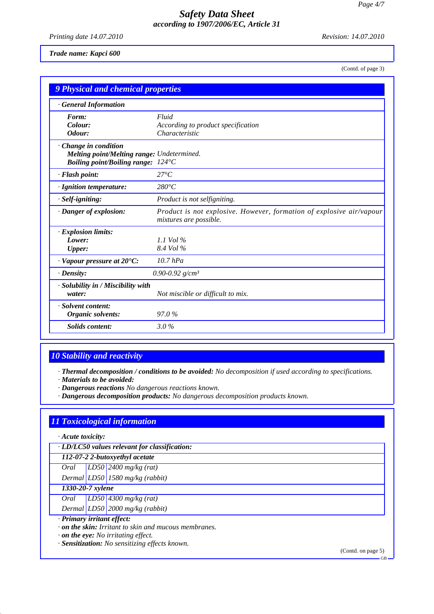*Printing date 14.07.2010 Revision: 14.07.2010*

#### *Trade name: Kapci 600*

(Contd. of page 3)

| 9 Physical and chemical properties                                                                       |                                                                                                |  |  |
|----------------------------------------------------------------------------------------------------------|------------------------------------------------------------------------------------------------|--|--|
| <b>General Information</b>                                                                               |                                                                                                |  |  |
| Form:                                                                                                    | Fluid                                                                                          |  |  |
| Colour:<br>Odour:                                                                                        | According to product specification<br>Characteristic                                           |  |  |
| Change in condition                                                                                      |                                                                                                |  |  |
| <b>Melting point/Melting range: Undetermined.</b><br><b>Boiling point/Boiling range:</b> $124^{\circ}$ C |                                                                                                |  |  |
| · Flash point:                                                                                           | $27^{\circ}C$                                                                                  |  |  |
| · Ignition temperature:                                                                                  | $280^{\circ}C$                                                                                 |  |  |
| · Self-igniting:                                                                                         | Product is not selfigniting.                                                                   |  |  |
| · Danger of explosion:                                                                                   | Product is not explosive. However, formation of explosive air/vapour<br>mixtures are possible. |  |  |
| · Explosion limits:                                                                                      |                                                                                                |  |  |
| Lower:                                                                                                   | 1.1 Vol $\%$<br>8.4 Vol %                                                                      |  |  |
| <b>Upper:</b>                                                                                            |                                                                                                |  |  |
| $\cdot$ Vapour pressure at 20 $\textdegree$ C:                                                           | $10.7$ hPa                                                                                     |  |  |
| · Density:                                                                                               | 0.90-0.92 $g/cm^3$                                                                             |  |  |
| · Solubility in / Miscibility with<br>water:                                                             | Not miscible or difficult to mix.                                                              |  |  |
| · Solvent content:<br>Organic solvents:                                                                  | 97.0%                                                                                          |  |  |
| <b>Solids</b> content:                                                                                   | $3.0\%$                                                                                        |  |  |

# *10 Stability and reactivity*

*· Thermal decomposition / conditions to be avoided: No decomposition if used according to specifications.*

*· Materials to be avoided:*

*· Dangerous reactions No dangerous reactions known.*

*· Dangerous decomposition products: No dangerous decomposition products known.*

# *11 Toxicological information*

*· Acute toxicity:*

*· LD/LC50 values relevant for classification:*

*112-07-2 2-butoxyethyl acetate*

*Oral LD50 2400 mg/kg (rat)*

*Dermal LD50 1580 mg/kg (rabbit)*

# *1330-20-7 xylene*

*Oral LD50 4300 mg/kg (rat)*

*Dermal LD50 2000 mg/kg (rabbit)*

*· Primary irritant effect:*

*· on the skin: Irritant to skin and mucous membranes.*

*· on the eye: No irritating effect.*

*· Sensitization: No sensitizing effects known.*

(Contd. on page 5)

GB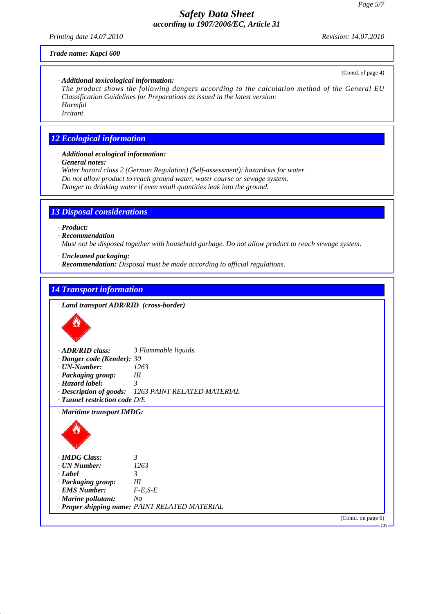*Printing date 14.07.2010 Revision: 14.07.2010*

(Contd. of page 4)

GB

#### *Trade name: Kapci 600*

#### *· Additional toxicological information:*

*The product shows the following dangers according to the calculation method of the General EU Classification Guidelines for Preparations as issued in the latest version: Harmful*

*Irritant*

## *12 Ecological information*

*· Additional ecological information:*

*· General notes:*

*Water hazard class 2 (German Regulation) (Self-assessment): hazardous for water Do not allow product to reach ground water, water course or sewage system. Danger to drinking water if even small quantities leak into the ground.*

## *13 Disposal considerations*

*· Product:*

#### *· Recommendation*

*Must not be disposed together with household garbage. Do not allow product to reach sewage system.*

- *· Uncleaned packaging:*
- *· Recommendation: Disposal must be made according to official regulations.*

### *14 Transport information*

*· Land transport ADR/RID (cross-border) · ADR/RID class: 3 Flammable liquids. · Danger code (Kemler): 30 · UN-Number: 1263 · Packaging group: III · Hazard label: 3 · Description of goods: 1263 PAINT RELATED MATERIAL · Tunnel restriction code D/E · Maritime transport IMDG: · IMDG Class: 3 · UN Number: 1263 · Label 3 · Packaging group: III · EMS Number: F-E,S-E · Marine pollutant: No · Proper shipping name: PAINT RELATED MATERIAL* (Contd. on page 6)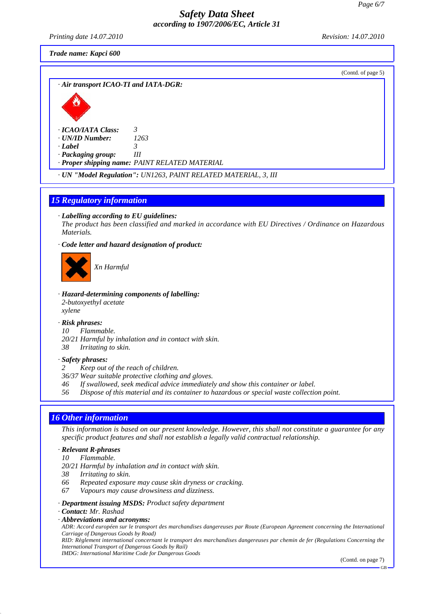*Printing date 14.07.2010 Revision: 14.07.2010*

*Trade name: Kapci 600*

| (Contd. of page 5)                                                                                                                                                                                                                                                                                               |
|------------------------------------------------------------------------------------------------------------------------------------------------------------------------------------------------------------------------------------------------------------------------------------------------------------------|
| · Air transport ICAO-TI and IATA-DGR:                                                                                                                                                                                                                                                                            |
|                                                                                                                                                                                                                                                                                                                  |
| · ICAO/IATA Class:<br>3<br>· UN/ID Number:<br>1263<br>· Label<br>3<br>· Packaging group:<br>Ш<br>· Proper shipping name: PAINT RELATED MATERIAL                                                                                                                                                                  |
| · UN "Model Regulation": UN1263, PAINT RELATED MATERIAL, 3, III                                                                                                                                                                                                                                                  |
|                                                                                                                                                                                                                                                                                                                  |
| <b>15 Regulatory information</b>                                                                                                                                                                                                                                                                                 |
| $\cdot$ Labelling according to EU guidelines:<br>The product has been classified and marked in accordance with EU Directives / Ordinance on Hazardous<br>Materials.                                                                                                                                              |
| · Code letter and hazard designation of product:                                                                                                                                                                                                                                                                 |
| Xn Harmful                                                                                                                                                                                                                                                                                                       |
| · Hazard-determining components of labelling:<br>2-butoxyethyl acetate<br>xylene                                                                                                                                                                                                                                 |
| · Risk phrases:<br>Flammable.<br>10<br>20/21 Harmful by inhalation and in contact with skin.<br>38<br>Irritating to skin.                                                                                                                                                                                        |
| · Safety phrases:<br>Keep out of the reach of children.<br>2<br>36/37 Wear suitable protective clothing and gloves.<br>46<br>If swallowed, seek medical advice immediately and show this container or label.<br>Dispose of this material and its container to hazardous or special waste collection point.<br>56 |
|                                                                                                                                                                                                                                                                                                                  |
| <b>16 Other information</b><br>This information is based on our present knowledge. However, this shall not constitute a guarantee for any<br>specific product features and shall not establish a legally valid contractual relationship.                                                                         |
| · Relevant R-phrases<br>Flammable.<br>10<br>20/21 Harmful by inhalation and in contact with skin.<br>38<br>Irritating to skin.<br>66<br>Repeated exposure may cause skin dryness or cracking.<br>Vapours may cause drowsiness and dizziness.<br>67                                                               |
| · Department issuing MSDS: Product safety department<br><b>Contact:</b> Mr. Rashad<br>· Abbreviations and acronyms:<br>ADR: Accord européen sur le transport des marchandises dangereuses par Route (European Agreement concerning the International                                                             |

*Carriage of Dangerous Goods by Road) RID: Règlement international concernant le transport des marchandises dangereuses par chemin de fer (Regulations Concerning the*

*International Transport of Dangerous Goods by Rail) IMDG: International Maritime Code for Dangerous Goods*

(Contd. on page 7)

GB